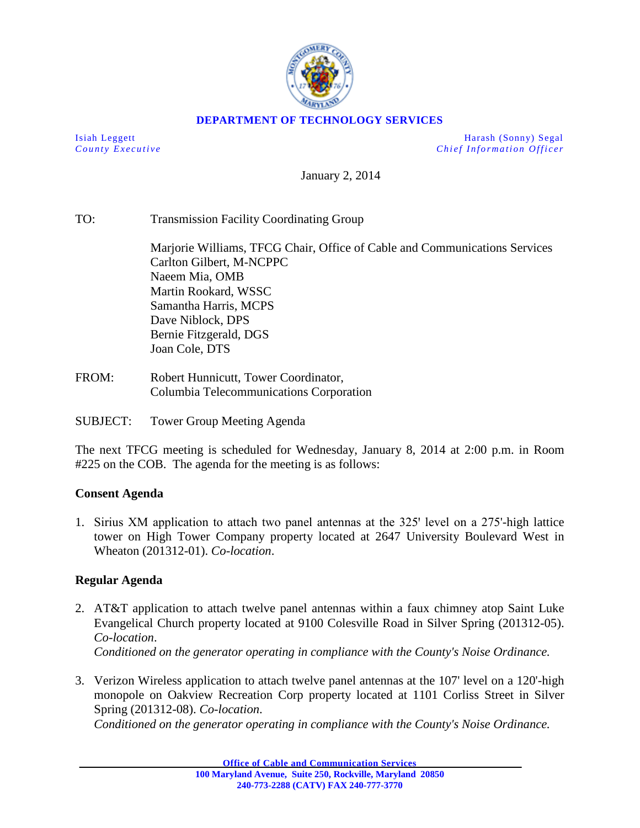

## **DEPARTMENT OF TECHNOLOGY SERVICES**

Isiah Leggett Harash (Sonny) Segal *County Executive Chief Information O fficer*

January 2, 2014

TO: Transmission Facility Coordinating Group

Marjorie Williams, TFCG Chair, Office of Cable and Communications Services Carlton Gilbert, M-NCPPC Naeem Mia, OMB Martin Rookard, WSSC Samantha Harris, MCPS Dave Niblock, DPS Bernie Fitzgerald, DGS Joan Cole, DTS

FROM: Robert Hunnicutt, Tower Coordinator, Columbia Telecommunications Corporation

SUBJECT: Tower Group Meeting Agenda

The next TFCG meeting is scheduled for Wednesday, January 8, 2014 at 2:00 p.m. in Room #225 on the COB. The agenda for the meeting is as follows:

## **Consent Agenda**

1. Sirius XM application to attach two panel antennas at the 325' level on a 275'-high lattice tower on High Tower Company property located at 2647 University Boulevard West in Wheaton (201312-01). *Co-location*.

## **Regular Agenda**

- 2. AT&T application to attach twelve panel antennas within a faux chimney atop Saint Luke Evangelical Church property located at 9100 Colesville Road in Silver Spring (201312-05). *Co-location*. *Conditioned on the generator operating in compliance with the County's Noise Ordinance.*
- 3. Verizon Wireless application to attach twelve panel antennas at the 107' level on a 120'-high monopole on Oakview Recreation Corp property located at 1101 Corliss Street in Silver Spring (201312-08). *Co-location*.

*Conditioned on the generator operating in compliance with the County's Noise Ordinance.*